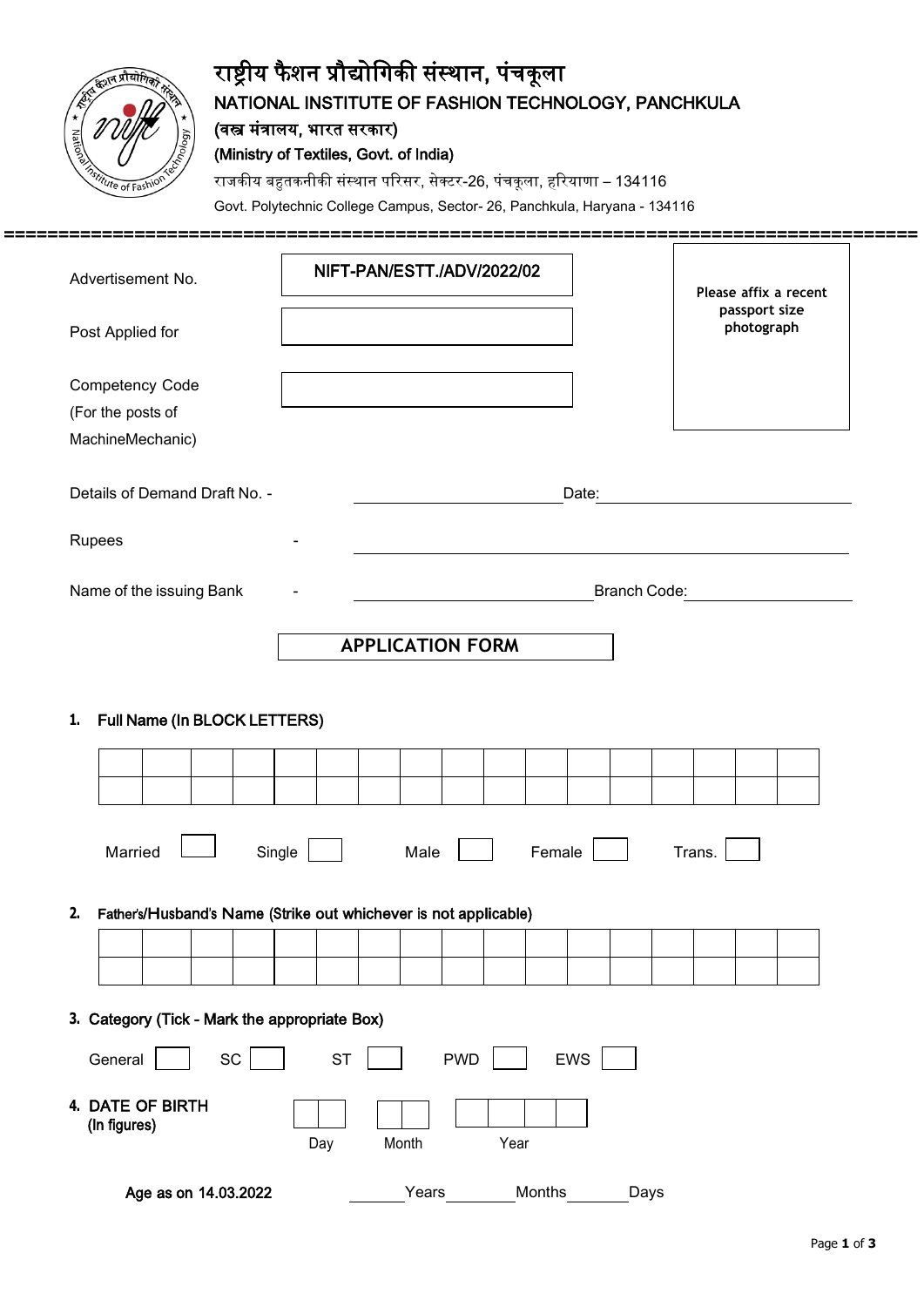

# राष्ट्रीय फैशन प्रौद्योगिकी संस्थान, पंचकूला NATIONAL INSTITUTE OF FASHION TECHNOLOGY, PANCHKULA (वस्त्र मंत्रालय, भारत सरकार) (Ministry of Textiles, Govt. of India)

राजकीय बहुतकनीकी संस्थान परिसर, सेक्टर-26, पंचकूला, हरियाणा – 134116

Govt. Polytechnic College Campus, Sector- 26, Panchkula, Haryana - 134116

| Advertisement No.                                                      |           | NIFT-PAN/ESTT./ADV/2022/02 |        | Please affix a recent<br>passport size |                                                          |
|------------------------------------------------------------------------|-----------|----------------------------|--------|----------------------------------------|----------------------------------------------------------|
| Post Applied for                                                       |           |                            |        |                                        | photograph                                               |
| Competency Code                                                        |           |                            |        |                                        |                                                          |
| (For the posts of                                                      |           |                            |        |                                        |                                                          |
| MachineMechanic)                                                       |           |                            |        |                                        |                                                          |
| Details of Demand Draft No. -                                          |           |                            | Date:  |                                        |                                                          |
| Rupees                                                                 |           |                            |        |                                        | <u> 1980 - Jan Stein, Amerikaansk politiker († 1901)</u> |
| Name of the issuing Bank                                               |           |                            |        | Branch Code:                           |                                                          |
|                                                                        |           | <b>APPLICATION FORM</b>    |        |                                        |                                                          |
| Full Name (In BLOCK LETTERS)<br>1.                                     |           |                            |        |                                        |                                                          |
|                                                                        |           |                            |        |                                        |                                                          |
| Married                                                                | Single    | Male                       | Female |                                        | Trans.                                                   |
| Father's/Husband's Name (Strike out whichever is not applicable)<br>2. |           |                            |        |                                        |                                                          |
|                                                                        |           |                            |        |                                        |                                                          |
| 3. Category (Tick - Mark the appropriate Box)<br>SC<br>General         | <b>ST</b> | <b>PWD</b>                 | EWS    |                                        |                                                          |

Age as on 14.03.2022 Years Months Days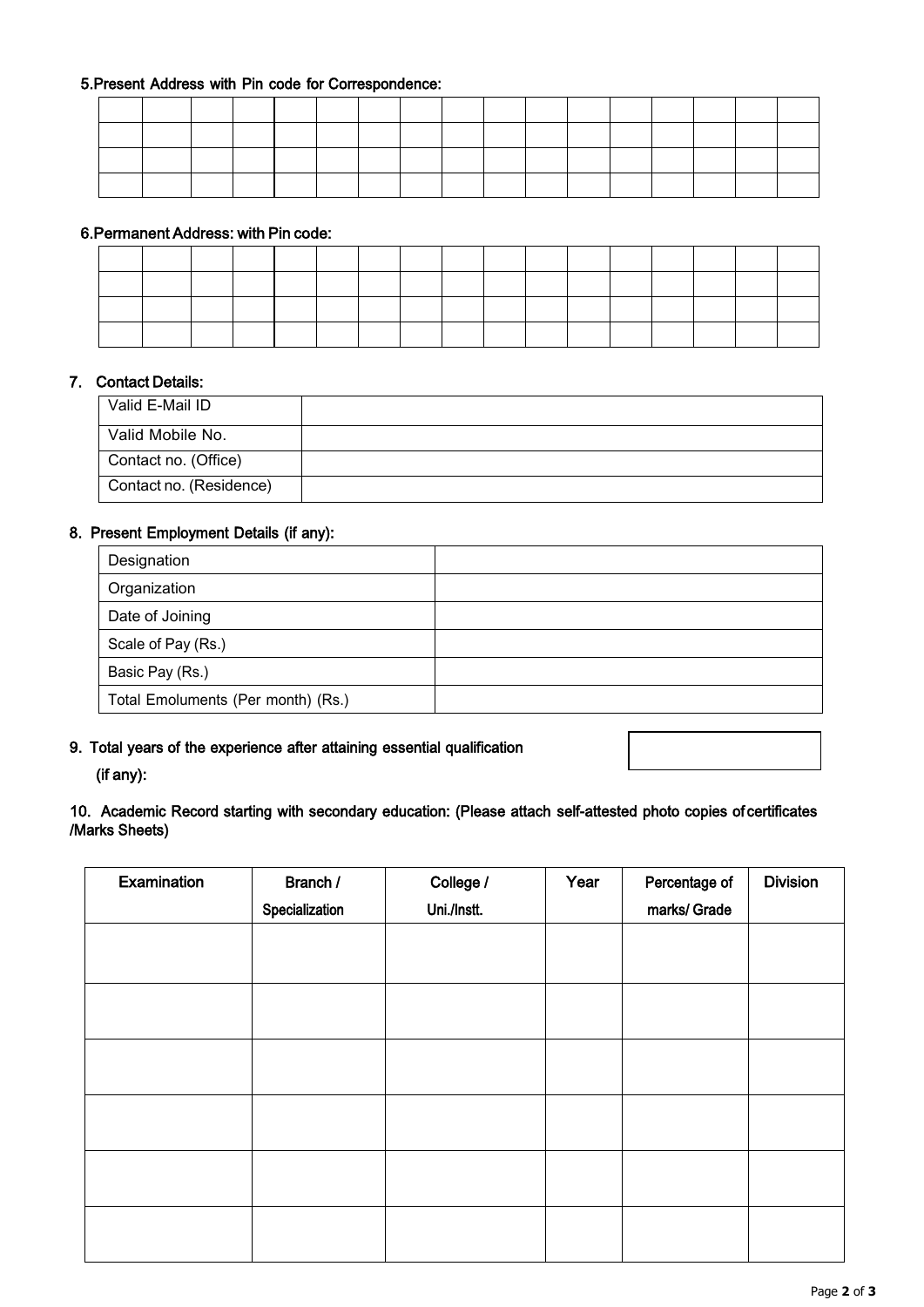#### 5.Present Address with Pin code for Correspondence:

#### 6.Permanent Address: with Pin code:

#### 7. Contact Details:

| Valid E-Mail ID         |  |
|-------------------------|--|
| Valid Mobile No.        |  |
| Contact no. (Office)    |  |
| Contact no. (Residence) |  |

#### 8. Present Employment Details (if any):

| Designation                        |  |
|------------------------------------|--|
| Organization                       |  |
| Date of Joining                    |  |
| Scale of Pay (Rs.)                 |  |
| Basic Pay (Rs.)                    |  |
| Total Emoluments (Per month) (Rs.) |  |

#### 9. Total years of the experience after attaining essential qualification

## (if any):

## 10. Academic Record starting with secondary education: (Please attach self-attested photo copies of certificates /Marks Sheets)

| Examination | Branch /       | College /   | Year | Percentage of | <b>Division</b> |
|-------------|----------------|-------------|------|---------------|-----------------|
|             | Specialization | Uni./Instt. |      | marks/ Grade  |                 |
|             |                |             |      |               |                 |
|             |                |             |      |               |                 |
|             |                |             |      |               |                 |
|             |                |             |      |               |                 |
|             |                |             |      |               |                 |
|             |                |             |      |               |                 |
|             |                |             |      |               |                 |
|             |                |             |      |               |                 |
|             |                |             |      |               |                 |
|             |                |             |      |               |                 |
|             |                |             |      |               |                 |
|             |                |             |      |               |                 |